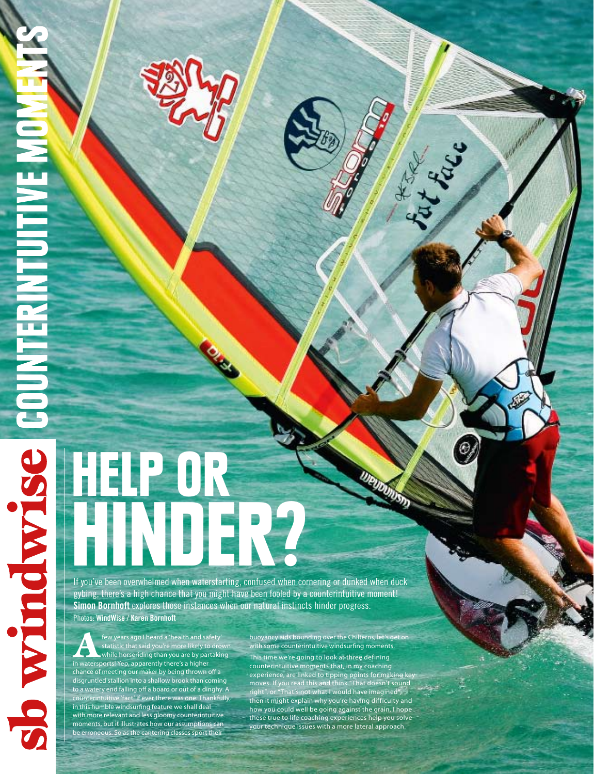NOM HALLIN

# HELP OR If you've been overwhelmed when waterstarting confused when co

If you've been overwhelmed when waterstarting, confused when cornering or dunked when duck gybing, there's a high chance that you might have been fooled by a counterintuitive moment! **Simon Bornhoft** explores those instances when our natural instincts hinder progress. Photos: **WindWise** / **Karen Bornhoft**

few years ago I heard a 'health and safety'<br>statistic that said you're more likely to drow<br>while horseriding than you are by partaking statistic that said you're more likely to drown while horseriding than you are by partaking in watersports! Yep, apparently there's a higher chance of meeting our maker by being thrown off a disgruntled stallion into a shallow brook than coming to a watery end falling off a board or out of a dinghy. A counterintuitive 'fact' if ever there was one. Thankfully, in this humble windsurfing feature we shall deal with more relevant and less gloomy counterintuitive moments, but it illustrates how our assumptions can be erroneous. So as the cantering classes sport their

buoyancy aids bounding over the Chilterns, let's get on with some counterintuitive windsurfing moments. This time we're going to look at three defining counterintuitive moments that, in my coaching experience, are linked to tipping points for making key moves. If you read this and think "That doesn't sound right", or "That's not what I would have imagined", then it might explain why you're having difficulty and how you could well be going against the grain. I hope these true to life coaching experiences help you solve your technique issues with a more lateral approach.

Lat Later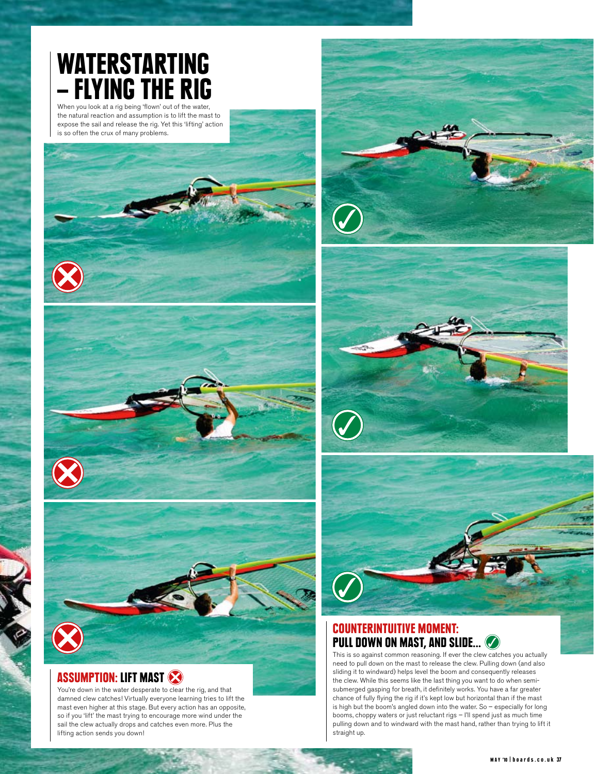## WATERSTARTING – FLYING THE RIG

When you look at a rig being 'flown' out of the water, the natural reaction and assumption is to lift the mast to expose the sail and release the rig. Yet this 'lifting' action is so often the crux of many problems.







## ASSUMPTION: LIFT MAST

You're down in the water desperate to clear the rig, and that damned clew catches! Virtually everyone learning tries to lift the mast even higher at this stage. But every action has an opposite, so if you 'lift' the mast trying to encourage more wind under the sail the clew actually drops and catches even more. Plus the lifting action sends you down!







#### Counterintuitive Moment: PULL DOWN ON MAST, AND SLIDE...

This is so against common reasoning. If ever the clew catches you actually need to pull down on the mast to release the clew. Pulling down (and also sliding it to windward) helps level the boom and consequently releases the clew. While this seems like the last thing you want to do when semisubmerged gasping for breath, it definitely works. You have a far greater chance of fully flying the rig if it's kept low but horizontal than if the mast is high but the boom's angled down into the water. So – especially for long booms, choppy waters or just reluctant rigs – I'll spend just as much time pulling down and to windward with the mast hand, rather than trying to lift it straight up.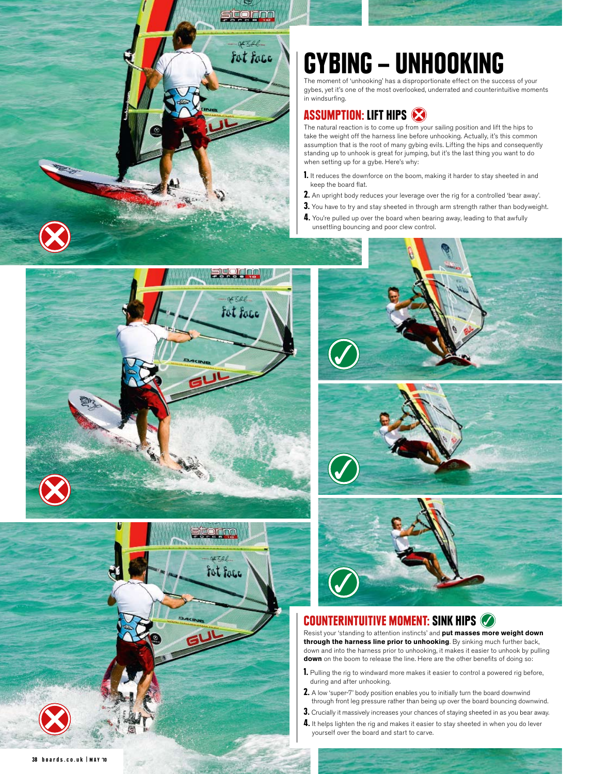

# GYBING – UNHOOKING

The moment of 'unhooking' has a disproportionate effect on the success of your gybes, yet it's one of the most overlooked, underrated and counterintuitive moments in windsurfing.

## Assumption: Lift Hips

The natural reaction is to come up from your sailing position and lift the hips to take the weight off the harness line before unhooking. Actually, it's this common assumption that is the root of many gybing evils. Lifting the hips and consequently standing up to unhook is great for jumping, but it's the last thing you want to do when setting up for a gybe. Here's why:

- 1. It reduces the downforce on the boom, making it harder to stay sheeted in and keep the board flat.
- 2. An upright body reduces your leverage over the rig for a controlled 'bear away'.
- 3. You have to try and stay sheeted in through arm strength rather than bodyweight.
- 4. You're pulled up over the board when bearing away, leading to that awfully unsettling bouncing and poor clew control.











## Counterintuitive Moment: Sink Hips

Resist your 'standing to attention instincts' and **put masses more weight down through the harness line prior to unhooking**. By sinking much further back, down and into the harness prior to unhooking, it makes it easier to unhook by pulling **down** on the boom to release the line. Here are the other benefits of doing so:

- 1. Pulling the rig to windward more makes it easier to control a powered rig before, during and after unhooking.
- 2. A low 'super-7' body position enables you to initially turn the board downwind through front leg pressure rather than being up over the board bouncing downwind.
- 3. Crucially it massively increases your chances of staying sheeted in as you bear away.
- 4. It helps lighten the rig and makes it easier to stay sheeted in when you do lever yourself over the board and start to carve.